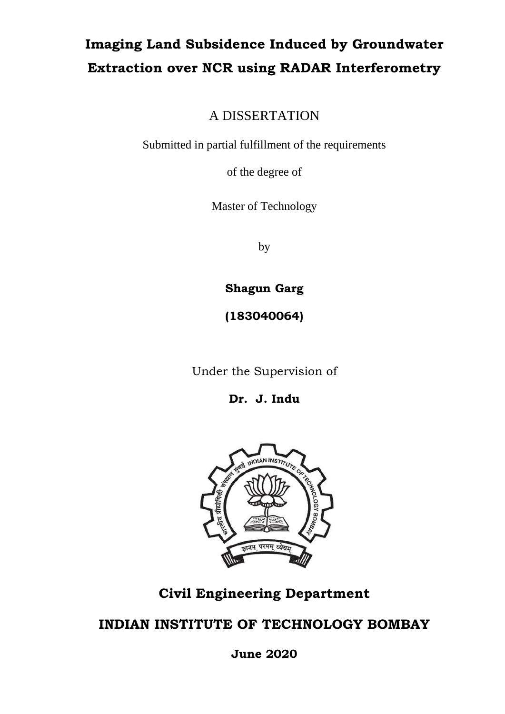## **Imaging Land Subsidence Induced by Groundwater Extraction over NCR using RADAR Interferometry**

A DISSERTATION

Submitted in partial fulfillment of the requirements

of the degree of

Master of Technology

by

**Shagun Garg**

**(183040064)**

Under the Supervision of

**Dr. J. Indu**



## **Civil Engineering Department**

## **INDIAN INSTITUTE OF TECHNOLOGY BOMBAY**

**June 2020**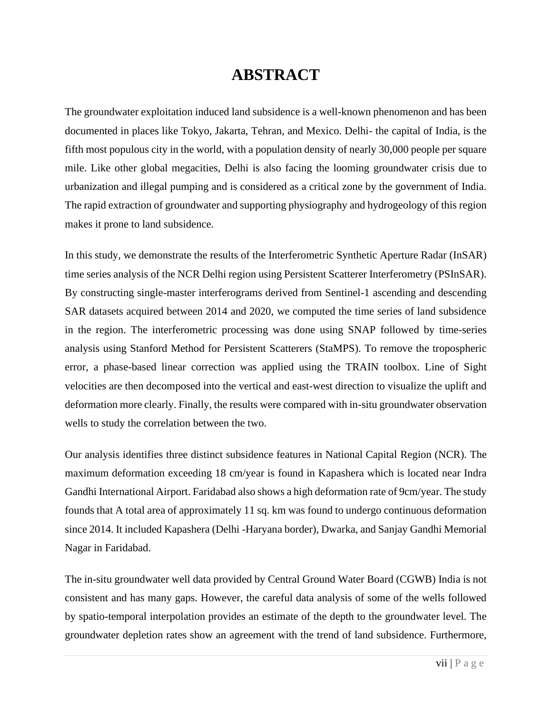## **ABSTRACT**

The groundwater exploitation induced land subsidence is a well-known phenomenon and has been documented in places like Tokyo, Jakarta, Tehran, and Mexico. Delhi- the capital of India, is the fifth most populous city in the world, with a population density of nearly 30,000 people per square mile. Like other global megacities, Delhi is also facing the looming groundwater crisis due to urbanization and illegal pumping and is considered as a critical zone by the government of India. The rapid extraction of groundwater and supporting physiography and hydrogeology of this region makes it prone to land subsidence.

In this study, we demonstrate the results of the Interferometric Synthetic Aperture Radar (InSAR) time series analysis of the NCR Delhi region using Persistent Scatterer Interferometry (PSInSAR). By constructing single-master interferograms derived from Sentinel-1 ascending and descending SAR datasets acquired between 2014 and 2020, we computed the time series of land subsidence in the region. The interferometric processing was done using SNAP followed by time-series analysis using Stanford Method for Persistent Scatterers (StaMPS). To remove the tropospheric error, a phase-based linear correction was applied using the TRAIN toolbox. Line of Sight velocities are then decomposed into the vertical and east-west direction to visualize the uplift and deformation more clearly. Finally, the results were compared with in-situ groundwater observation wells to study the correlation between the two.

Our analysis identifies three distinct subsidence features in National Capital Region (NCR). The maximum deformation exceeding 18 cm/year is found in Kapashera which is located near Indra Gandhi International Airport. Faridabad also shows a high deformation rate of 9cm/year. The study founds that A total area of approximately 11 sq. km was found to undergo continuous deformation since 2014. It included Kapashera (Delhi -Haryana border), Dwarka, and Sanjay Gandhi Memorial Nagar in Faridabad.

The in-situ groundwater well data provided by Central Ground Water Board (CGWB) India is not consistent and has many gaps. However, the careful data analysis of some of the wells followed by spatio-temporal interpolation provides an estimate of the depth to the groundwater level. The groundwater depletion rates show an agreement with the trend of land subsidence. Furthermore,